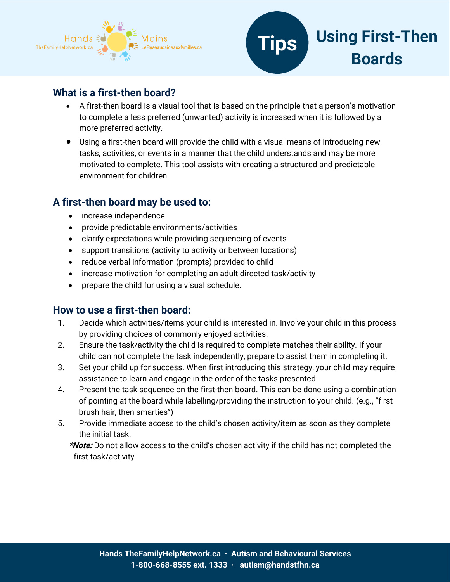



### **What is a first-then board?**

- A first-then board is a visual tool that is based on the principle that a person's motivation to complete a less preferred (unwanted) activity is increased when it is followed by a more preferred activity.
- Using a first-then board will provide the child with a visual means of introducing new tasks, activities, or events in a manner that the child understands and may be more motivated to complete. This tool assists with creating a structured and predictable environment for children.

### **A first-then board may be used to:**

- increase independence
- provide predictable environments/activities
- clarify expectations while providing sequencing of events
- support transitions (activity to activity or between locations)
- reduce verbal information (prompts) provided to child
- increase motivation for completing an adult directed task/activity
- prepare the child for using a visual schedule.

### **How to use a first-then board:**

- 1. Decide which activities/items your child is interested in. Involve your child in this process by providing choices of commonly enjoyed activities.
- 2. Ensure the task/activity the child is required to complete matches their ability. If your child can not complete the task independently, prepare to assist them in completing it.
- 3. Set your child up for success. When first introducing this strategy, your child may require assistance to learn and engage in the order of the tasks presented.
- 4. Present the task sequence on the first-then board. This can be done using a combination of pointing at the board while labelling/providing the instruction to your child. (e.g., "first brush hair, then smarties")
- 5. Provide immediate access to the child's chosen activity/item as soon as they complete the initial task.

**\*Note:** Do not allow access to the child's chosen activity if the child has not completed the first task/activity